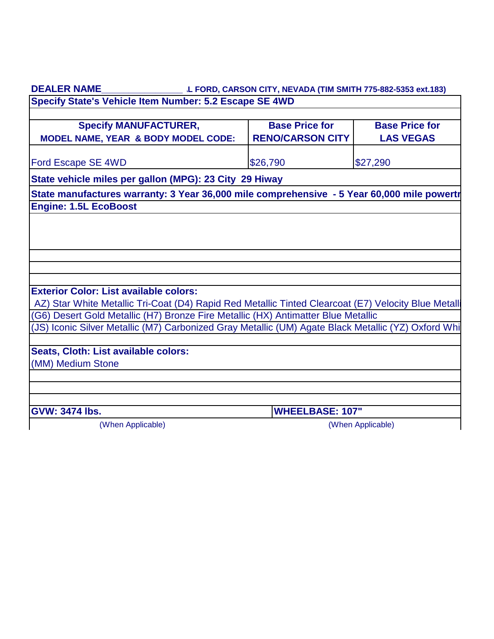| <b>DEALER NAME</b>                                                                                                                                                                       | L FORD, CARSON CITY, NEVADA (TIM SMITH 775-882-5353 ext.183) |                                           |
|------------------------------------------------------------------------------------------------------------------------------------------------------------------------------------------|--------------------------------------------------------------|-------------------------------------------|
| Specify State's Vehicle Item Number: 5.2 Escape SE 4WD                                                                                                                                   |                                                              |                                           |
| <b>Specify MANUFACTURER,</b><br>MODEL NAME, YEAR & BODY MODEL CODE:                                                                                                                      | <b>Base Price for</b><br><b>RENO/CARSON CITY</b>             | <b>Base Price for</b><br><b>LAS VEGAS</b> |
| Ford Escape SE 4WD                                                                                                                                                                       | \$26,790                                                     | \$27,290                                  |
| State vehicle miles per gallon (MPG): 23 City 29 Hiway                                                                                                                                   |                                                              |                                           |
| State manufactures warranty: 3 Year 36,000 mile comprehensive - 5 Year 60,000 mile powertr                                                                                               |                                                              |                                           |
| <b>Engine: 1.5L EcoBoost</b>                                                                                                                                                             |                                                              |                                           |
|                                                                                                                                                                                          |                                                              |                                           |
|                                                                                                                                                                                          |                                                              |                                           |
|                                                                                                                                                                                          |                                                              |                                           |
|                                                                                                                                                                                          |                                                              |                                           |
|                                                                                                                                                                                          |                                                              |                                           |
| <b>Exterior Color: List available colors:</b>                                                                                                                                            |                                                              |                                           |
| AZ) Star White Metallic Tri-Coat (D4) Rapid Red Metallic Tinted Clearcoat (E7) Velocity Blue Metalli                                                                                     |                                                              |                                           |
| (G6) Desert Gold Metallic (H7) Bronze Fire Metallic (HX) Antimatter Blue Metallic<br>(JS) Iconic Silver Metallic (M7) Carbonized Gray Metallic (UM) Agate Black Metallic (YZ) Oxford Whi |                                                              |                                           |
|                                                                                                                                                                                          |                                                              |                                           |
| Seats, Cloth: List available colors:                                                                                                                                                     |                                                              |                                           |
| (MM) Medium Stone                                                                                                                                                                        |                                                              |                                           |
|                                                                                                                                                                                          |                                                              |                                           |
|                                                                                                                                                                                          |                                                              |                                           |
| <b>GVW: 3474 lbs.</b>                                                                                                                                                                    | <b>WHEELBASE: 107"</b>                                       |                                           |
| (When Applicable)                                                                                                                                                                        |                                                              | (When Applicable)                         |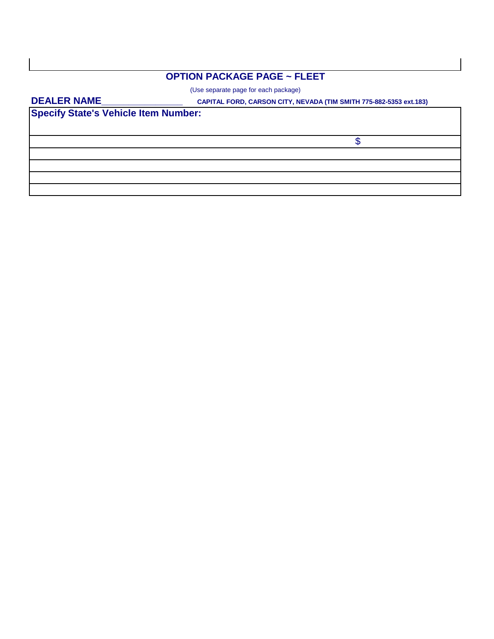## **OPTION PACKAGE PAGE ~ FLEET**

(Use separate page for each package)

#### **DEALER NAME\_\_\_\_\_\_\_\_\_\_\_\_\_\_\_**

 **CAPITAL FORD, CARSON CITY, NEVADA (TIM SMITH 775-882-5353 ext.183)**

**Specify State's Vehicle Item Number:**

\$